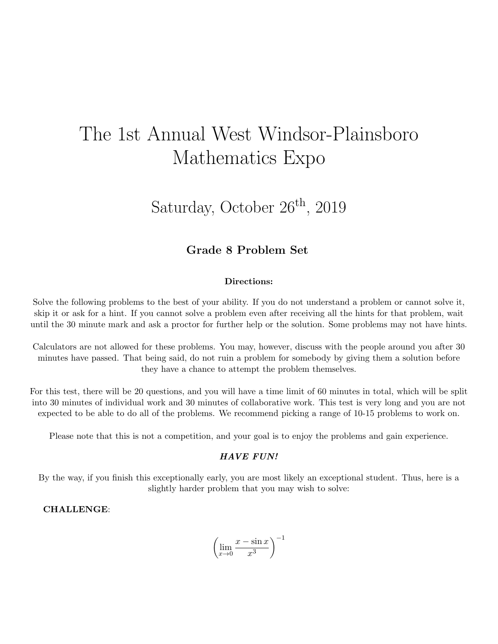# The 1st Annual West Windsor-Plainsboro Mathematics Expo

## Saturday, October  $26<sup>th</sup>$ , 2019

### Grade 8 Problem Set

#### Directions:

Solve the following problems to the best of your ability. If you do not understand a problem or cannot solve it, skip it or ask for a hint. If you cannot solve a problem even after receiving all the hints for that problem, wait until the 30 minute mark and ask a proctor for further help or the solution. Some problems may not have hints.

Calculators are not allowed for these problems. You may, however, discuss with the people around you after 30 minutes have passed. That being said, do not ruin a problem for somebody by giving them a solution before they have a chance to attempt the problem themselves.

For this test, there will be 20 questions, and you will have a time limit of 60 minutes in total, which will be split into 30 minutes of individual work and 30 minutes of collaborative work. This test is very long and you are not expected to be able to do all of the problems. We recommend picking a range of 10-15 problems to work on.

Please note that this is not a competition, and your goal is to enjoy the problems and gain experience.

#### HAVE FUN!

By the way, if you finish this exceptionally early, you are most likely an exceptional student. Thus, here is a slightly harder problem that you may wish to solve:

#### CHALLENGE:

$$
\left(\lim_{x \to 0} \frac{x - \sin x}{x^3}\right)^{-1}
$$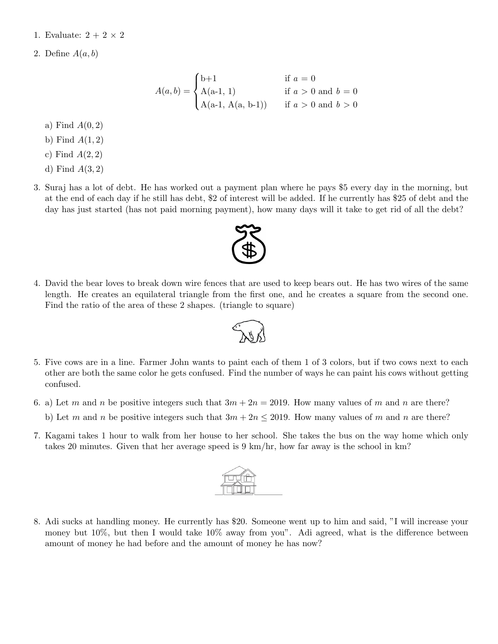1. Evaluate:  $2 + 2 \times 2$ 

2. Define  $A(a, b)$ 

$$
A(a,b) = \begin{cases} b+1 & \text{if } a = 0\\ A(a-1, 1) & \text{if } a > 0 \text{ and } b = 0\\ A(a-1, A(a, b-1)) & \text{if } a > 0 \text{ and } b > 0 \end{cases}
$$

#### a) Find  $A(0, 2)$

- b) Find  $A(1,2)$
- c) Find  $A(2,2)$
- d) Find  $A(3,2)$
- 3. Suraj has a lot of debt. He has worked out a payment plan where he pays \$5 every day in the morning, but at the end of each day if he still has debt, \$2 of interest will be added. If he currently has \$25 of debt and the day has just started (has not paid morning payment), how many days will it take to get rid of all the debt?
- 4. David the bear loves to break down wire fences that are used to keep bears out. He has two wires of the same length. He creates an equilateral triangle from the first one, and he creates a square from the second one. Find the ratio of the area of these 2 shapes. (triangle to square)



- 5. Five cows are in a line. Farmer John wants to paint each of them 1 of 3 colors, but if two cows next to each other are both the same color he gets confused. Find the number of ways he can paint his cows without getting confused.
- 6. a) Let m and n be positive integers such that  $3m + 2n = 2019$ . How many values of m and n are there?
	- b) Let m and n be positive integers such that  $3m + 2n \le 2019$ . How many values of m and n are there?
- 7. Kagami takes 1 hour to walk from her house to her school. She takes the bus on the way home which only takes 20 minutes. Given that her average speed is 9 km/hr, how far away is the school in km?



8. Adi sucks at handling money. He currently has \$20. Someone went up to him and said, "I will increase your money but 10%, but then I would take  $10\%$  away from you". Adi agreed, what is the difference between amount of money he had before and the amount of money he has now?

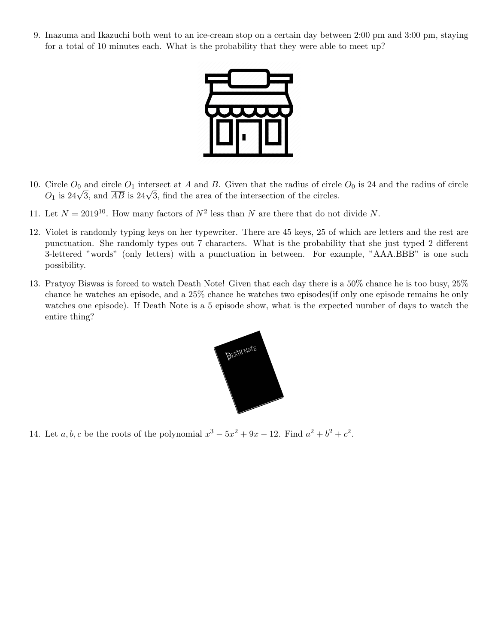9. Inazuma and Ikazuchi both went to an ice-cream stop on a certain day between 2:00 pm and 3:00 pm, staying for a total of 10 minutes each. What is the probability that they were able to meet up?



- 10. Circle  $O_0$  and circle  $O_1$  intersect at A and B. Given that the radius of circle  $O_0$  is 24 and the radius of circle Circle  $O_0$  and circle  $O_1$  intersect at A and B. Given that the radius of circle  $O_1$  is 24 $\sqrt{3}$ , and  $\overline{AB}$  is 24 $\sqrt{3}$ , find the area of the intersection of the circles.
- 11. Let  $N = 2019^{10}$ . How many factors of  $N^2$  less than N are there that do not divide N.
- 12. Violet is randomly typing keys on her typewriter. There are 45 keys, 25 of which are letters and the rest are punctuation. She randomly types out 7 characters. What is the probability that she just typed 2 different 3-lettered "words" (only letters) with a punctuation in between. For example, "AAA.BBB" is one such possibility.
- 13. Pratyoy Biswas is forced to watch Death Note! Given that each day there is a 50% chance he is too busy, 25% chance he watches an episode, and a 25% chance he watches two episodes(if only one episode remains he only watches one episode). If Death Note is a 5 episode show, what is the expected number of days to watch the entire thing?



14. Let  $a, b, c$  be the roots of the polynomial  $x^3 - 5x^2 + 9x - 12$ . Find  $a^2 + b^2 + c^2$ .